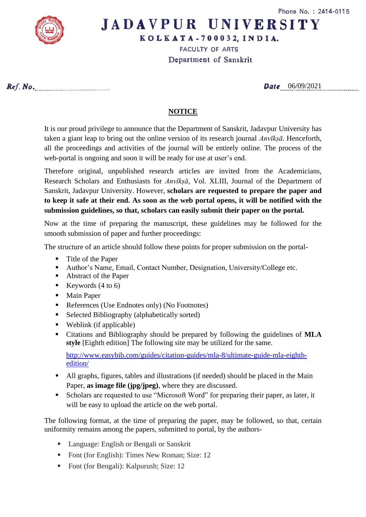

## **JADAVPUR UNIVERSITY**

KOLKATA-700032, INDIA.

**FACULTY OF ARTS** 

Department of Sanskrit

Ref. No.

Date 06/09/2021

## **NOTICE**

It is our proud privilege to announce that the Department of Sanskrit, Jadavpur University has taken a giant leap to bring out the online version of its research journal *Anvīkṣā*. Henceforth, all the proceedings and activities of the journal will be entirely online. The process of the web-portal is ongoing and soon it will be ready for use at user's end.

Therefore original, unpublished research articles are invited from the Academicians, Research Scholars and Enthusiasts for *Anvīkṣā*, Vol. XLIII, Journal of the Department of Sanskrit, Jadavpur University. However, **scholars are requested to prepare the paper and to keep it safe at their end. As soon as the web portal opens, it will be notified with the submission guidelines, so that, scholars can easily submit their paper on the portal.**

Now at the time of preparing the manuscript, these guidelines may be followed for the smooth submission of paper and further proceedings:

The structure of an article should follow these points for proper submission on the portal-

- Title of the Paper
- Author's Name, Email, Contact Number, Designation, University/College etc.
- Abstract of the Paper
- Exercise (4 to 6)
- Main Paper
- References (Use Endnotes only) (No Footnotes)
- Selected Bibliography (alphabetically sorted)
- Weblink (if applicable)
- Citations and Bibliography should be prepared by following the guidelines of **MLA style** [Eighth edition] The following site may be utilized for the same.

[http://www.easybib.com/guides/citation-guides/mla-8/ultimate-guide-mla-eighth](http://www.easybib.com/guides/citation-guides/mla-8/ultimate-guide-mla-eighth-edition/)[edition/](http://www.easybib.com/guides/citation-guides/mla-8/ultimate-guide-mla-eighth-edition/)

- All graphs, figures, tables and illustrations (if needed) should be placed in the Main Paper, **as image file (jpg/jpeg)**, where they are discussed.
- Scholars are requested to use "Microsoft Word" for preparing their paper, as later, it will be easy to upload the article on the web portal.

The following format, at the time of preparing the paper, may be followed, so that, certain uniformity remains among the papers, submitted to portal, by the authors-

- Language: English or Bengali or Sanskrit
- Font (for English): Times New Roman; Size: 12
- Font (for Bengali): Kalpurush; Size: 12